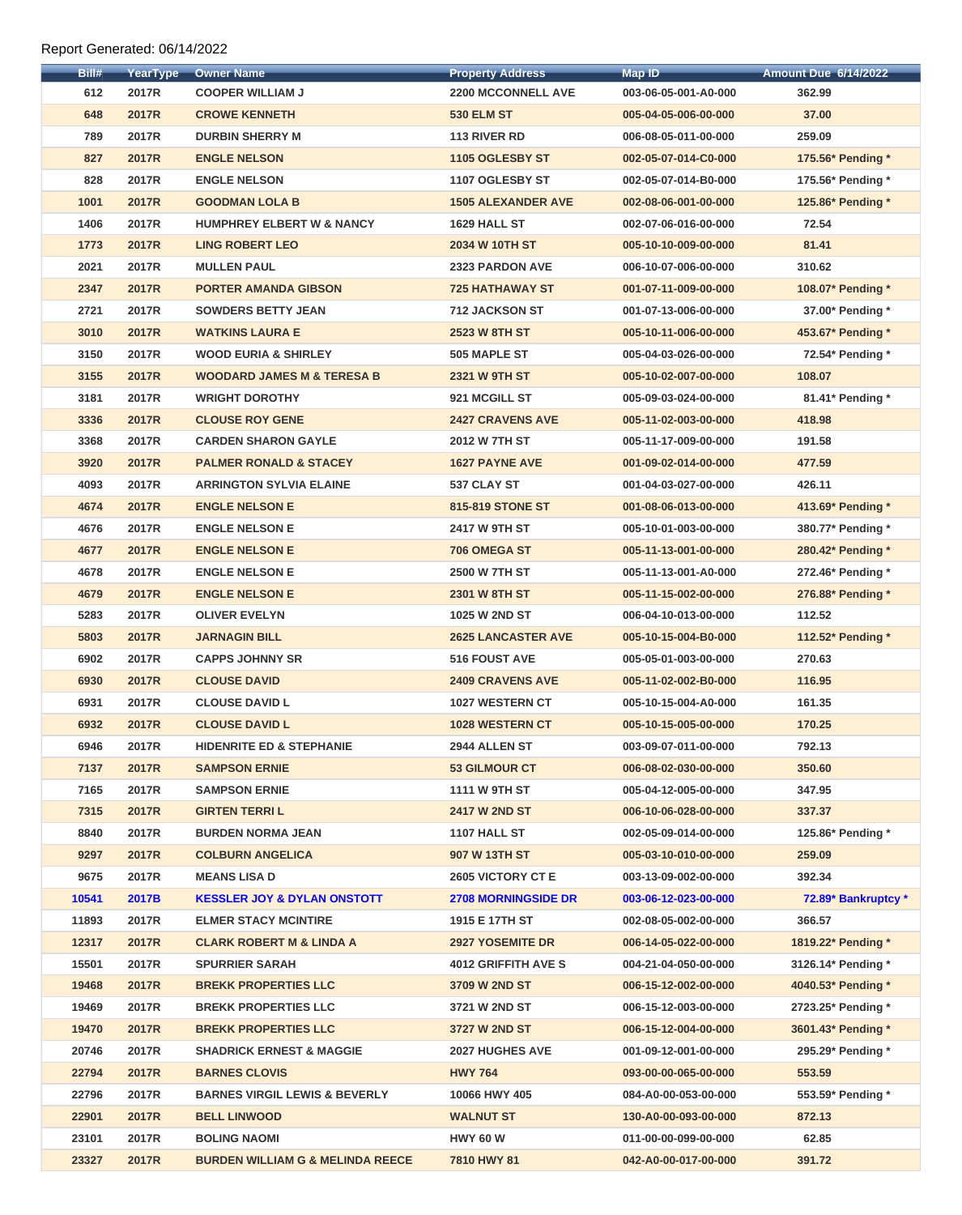## Report Generated: 06/14/2022

| Bill# | <b>YearType</b> | <b>Owner Name</b>                           | <b>Property Address</b>    | <b>Map ID</b>        | <b>Amount Due 6/14/2022</b> |
|-------|-----------------|---------------------------------------------|----------------------------|----------------------|-----------------------------|
| 612   | 2017R           | <b>COOPER WILLIAM J</b>                     | <b>2200 MCCONNELL AVE</b>  | 003-06-05-001-A0-000 | 362.99                      |
| 648   | <b>2017R</b>    | <b>CROWE KENNETH</b>                        | <b>530 ELM ST</b>          | 005-04-05-006-00-000 | 37.00                       |
| 789   | 2017R           | <b>DURBIN SHERRY M</b>                      | 113 RIVER RD               | 006-08-05-011-00-000 | 259.09                      |
| 827   | <b>2017R</b>    | <b>ENGLE NELSON</b>                         | 1105 OGLESBY ST            | 002-05-07-014-C0-000 | 175.56* Pending *           |
| 828   | 2017R           | <b>ENGLE NELSON</b>                         | 1107 OGLESBY ST            | 002-05-07-014-B0-000 | 175.56* Pending *           |
| 1001  | <b>2017R</b>    | <b>GOODMAN LOLA B</b>                       | <b>1505 ALEXANDER AVE</b>  | 002-08-06-001-00-000 | 125.86* Pending *           |
| 1406  | 2017R           | <b>HUMPHREY ELBERT W &amp; NANCY</b>        | 1629 HALL ST               | 002-07-06-016-00-000 | 72.54                       |
| 1773  | <b>2017R</b>    | <b>LING ROBERT LEO</b>                      | 2034 W 10TH ST             | 005-10-10-009-00-000 | 81.41                       |
| 2021  | 2017R           | <b>MULLEN PAUL</b>                          | 2323 PARDON AVE            | 006-10-07-006-00-000 | 310.62                      |
| 2347  | <b>2017R</b>    | <b>PORTER AMANDA GIBSON</b>                 | <b>725 HATHAWAY ST</b>     | 001-07-11-009-00-000 | 108.07* Pending *           |
| 2721  | 2017R           | <b>SOWDERS BETTY JEAN</b>                   | <b>712 JACKSON ST</b>      | 001-07-13-006-00-000 | 37.00* Pending *            |
| 3010  | <b>2017R</b>    | <b>WATKINS LAURA E</b>                      | <b>2523 W 8TH ST</b>       | 005-10-11-006-00-000 | 453.67* Pending *           |
| 3150  | 2017R           | <b>WOOD EURIA &amp; SHIRLEY</b>             | 505 MAPLE ST               | 005-04-03-026-00-000 | 72.54* Pending *            |
| 3155  | <b>2017R</b>    | <b>WOODARD JAMES M &amp; TERESA B</b>       | <b>2321 W 9TH ST</b>       | 005-10-02-007-00-000 | 108.07                      |
| 3181  | 2017R           | <b>WRIGHT DOROTHY</b>                       | 921 MCGILL ST              | 005-09-03-024-00-000 | 81.41* Pending *            |
| 3336  | <b>2017R</b>    | <b>CLOUSE ROY GENE</b>                      | <b>2427 CRAVENS AVE</b>    | 005-11-02-003-00-000 | 418.98                      |
| 3368  | 2017R           | <b>CARDEN SHARON GAYLE</b>                  | 2012 W 7TH ST              | 005-11-17-009-00-000 | 191.58                      |
| 3920  | <b>2017R</b>    | <b>PALMER RONALD &amp; STACEY</b>           | <b>1627 PAYNE AVE</b>      | 001-09-02-014-00-000 | 477.59                      |
| 4093  | 2017R           | <b>ARRINGTON SYLVIA ELAINE</b>              | 537 CLAY ST                | 001-04-03-027-00-000 | 426.11                      |
| 4674  | <b>2017R</b>    | <b>ENGLE NELSON E</b>                       | 815-819 STONE ST           | 001-08-06-013-00-000 | 413.69* Pending *           |
| 4676  | 2017R           | <b>ENGLE NELSON E</b>                       | 2417 W 9TH ST              | 005-10-01-003-00-000 | 380.77* Pending *           |
| 4677  | <b>2017R</b>    | <b>ENGLE NELSON E</b>                       | 706 OMEGA ST               | 005-11-13-001-00-000 | 280.42* Pending *           |
| 4678  | 2017R           | <b>ENGLE NELSON E</b>                       | <b>2500 W 7TH ST</b>       | 005-11-13-001-A0-000 | 272.46* Pending *           |
| 4679  | <b>2017R</b>    | <b>ENGLE NELSON E</b>                       | 2301 W 8TH ST              | 005-11-15-002-00-000 | 276.88* Pending *           |
| 5283  | 2017R           | <b>OLIVER EVELYN</b>                        | 1025 W 2ND ST              | 006-04-10-013-00-000 | 112.52                      |
| 5803  | <b>2017R</b>    | <b>JARNAGIN BILL</b>                        | <b>2625 LANCASTER AVE</b>  | 005-10-15-004-B0-000 | 112.52* Pending *           |
| 6902  | 2017R           | <b>CAPPS JOHNNY SR</b>                      | <b>516 FOUST AVE</b>       | 005-05-01-003-00-000 | 270.63                      |
| 6930  | <b>2017R</b>    | <b>CLOUSE DAVID</b>                         | <b>2409 CRAVENS AVE</b>    | 005-11-02-002-B0-000 | 116.95                      |
| 6931  | 2017R           | <b>CLOUSE DAVID L</b>                       | 1027 WESTERN CT            | 005-10-15-004-A0-000 | 161.35                      |
| 6932  | <b>2017R</b>    | <b>CLOUSE DAVID L</b>                       | 1028 WESTERN CT            | 005-10-15-005-00-000 | 170.25                      |
| 6946  | 2017R           | <b>HIDENRITE ED &amp; STEPHANIE</b>         | 2944 ALLEN ST              | 003-09-07-011-00-000 | 792.13                      |
| 7137  | <b>2017R</b>    | <b>SAMPSON ERNIE</b>                        | <b>53 GILMOUR CT</b>       | 006-08-02-030-00-000 | 350.60                      |
| 7165  | 2017R           | <b>SAMPSON ERNIE</b>                        | 1111 W 9TH ST              | 005-04-12-005-00-000 | 347.95                      |
| 7315  | <b>2017R</b>    | <b>GIRTEN TERRIL</b>                        | <b>2417 W 2ND ST</b>       | 006-10-06-028-00-000 | 337.37                      |
| 8840  | 2017R           | <b>BURDEN NORMA JEAN</b>                    | 1107 HALL ST               | 002-05-09-014-00-000 | 125.86* Pending *           |
| 9297  | <b>2017R</b>    | <b>COLBURN ANGELICA</b>                     | 907 W 13TH ST              | 005-03-10-010-00-000 | 259.09                      |
| 9675  | 2017R           | <b>MEANS LISA D</b>                         | <b>2605 VICTORY CT E</b>   | 003-13-09-002-00-000 | 392.34                      |
| 10541 | 2017B           | <b>KESSLER JOY &amp; DYLAN ONSTOTT</b>      | <b>2708 MORNINGSIDE DR</b> | 003-06-12-023-00-000 | 72.89* Bankruptcy *         |
| 11893 | 2017R           | <b>ELMER STACY MCINTIRE</b>                 | 1915 E 17TH ST             | 002-08-05-002-00-000 | 366.57                      |
| 12317 | <b>2017R</b>    | <b>CLARK ROBERT M &amp; LINDA A</b>         | <b>2927 YOSEMITE DR</b>    | 006-14-05-022-00-000 | 1819.22* Pending *          |
| 15501 | 2017R           | <b>SPURRIER SARAH</b>                       | <b>4012 GRIFFITH AVE S</b> | 004-21-04-050-00-000 | 3126.14* Pending *          |
| 19468 | <b>2017R</b>    | <b>BREKK PROPERTIES LLC</b>                 | 3709 W 2ND ST              | 006-15-12-002-00-000 | 4040.53* Pending *          |
| 19469 | 2017R           | <b>BREKK PROPERTIES LLC</b>                 | 3721 W 2ND ST              | 006-15-12-003-00-000 | 2723.25* Pending *          |
| 19470 | <b>2017R</b>    | <b>BREKK PROPERTIES LLC</b>                 | 3727 W 2ND ST              | 006-15-12-004-00-000 | 3601.43* Pending *          |
| 20746 | 2017R           | <b>SHADRICK ERNEST &amp; MAGGIE</b>         | <b>2027 HUGHES AVE</b>     | 001-09-12-001-00-000 | 295.29* Pending *           |
| 22794 | <b>2017R</b>    | <b>BARNES CLOVIS</b>                        | <b>HWY 764</b>             | 093-00-00-065-00-000 | 553.59                      |
| 22796 | 2017R           | <b>BARNES VIRGIL LEWIS &amp; BEVERLY</b>    | 10066 HWY 405              | 084-A0-00-053-00-000 | 553.59* Pending *           |
| 22901 | <b>2017R</b>    | <b>BELL LINWOOD</b>                         | <b>WALNUT ST</b>           | 130-A0-00-093-00-000 | 872.13                      |
| 23101 | <b>2017R</b>    | <b>BOLING NAOMI</b>                         | <b>HWY 60 W</b>            | 011-00-00-099-00-000 | 62.85                       |
| 23327 | <b>2017R</b>    | <b>BURDEN WILLIAM G &amp; MELINDA REECE</b> | 7810 HWY 81                | 042-A0-00-017-00-000 | 391.72                      |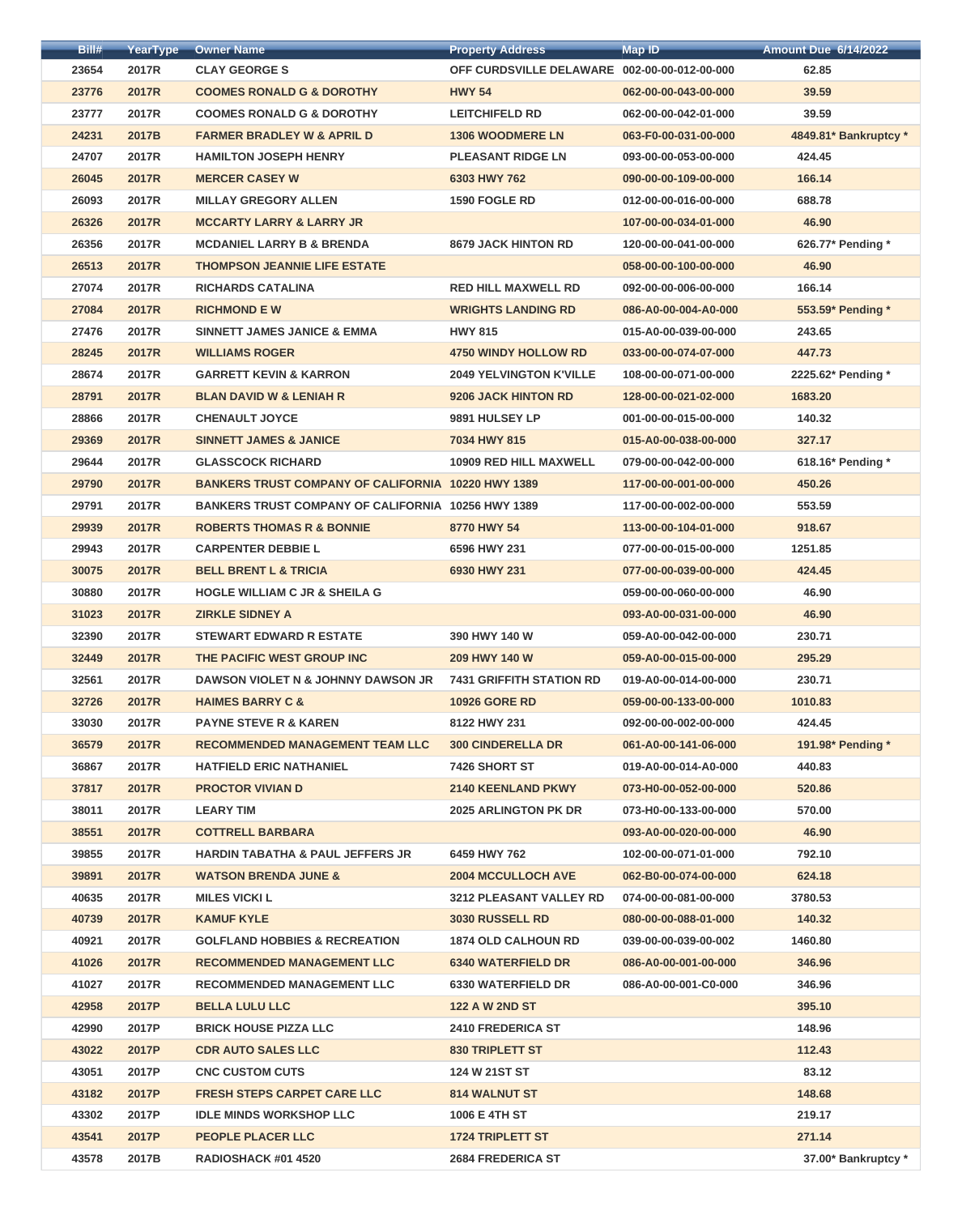| Bill# | <b>YearType</b> | <b>Owner Name</b>                                         | <b>Property Address</b>                      | <b>Map ID</b>        | <b>Amount Due 6/14/2022</b> |
|-------|-----------------|-----------------------------------------------------------|----------------------------------------------|----------------------|-----------------------------|
| 23654 | 2017R           | <b>CLAY GEORGE S</b>                                      | OFF CURDSVILLE DELAWARE 002-00-00-012-00-000 |                      | 62.85                       |
| 23776 | <b>2017R</b>    | <b>COOMES RONALD G &amp; DOROTHY</b>                      | <b>HWY 54</b>                                | 062-00-00-043-00-000 | 39.59                       |
| 23777 | 2017R           | <b>COOMES RONALD G &amp; DOROTHY</b>                      | <b>LEITCHIFELD RD</b>                        | 062-00-00-042-01-000 | 39.59                       |
| 24231 | 2017B           | <b>FARMER BRADLEY W &amp; APRIL D</b>                     | <b>1306 WOODMERE LN</b>                      | 063-F0-00-031-00-000 | 4849.81* Bankruptcy *       |
| 24707 | 2017R           | <b>HAMILTON JOSEPH HENRY</b>                              | <b>PLEASANT RIDGE LN</b>                     | 093-00-00-053-00-000 | 424.45                      |
| 26045 | <b>2017R</b>    | <b>MERCER CASEY W</b>                                     | 6303 HWY 762                                 | 090-00-00-109-00-000 | 166.14                      |
| 26093 | 2017R           | <b>MILLAY GREGORY ALLEN</b>                               | 1590 FOGLE RD                                | 012-00-00-016-00-000 | 688.78                      |
| 26326 | <b>2017R</b>    | <b>MCCARTY LARRY &amp; LARRY JR</b>                       |                                              | 107-00-00-034-01-000 | 46.90                       |
| 26356 | 2017R           | <b>MCDANIEL LARRY B &amp; BRENDA</b>                      | <b>8679 JACK HINTON RD</b>                   | 120-00-00-041-00-000 | 626.77* Pending *           |
| 26513 | <b>2017R</b>    | <b>THOMPSON JEANNIE LIFE ESTATE</b>                       |                                              | 058-00-00-100-00-000 | 46.90                       |
| 27074 | 2017R           | <b>RICHARDS CATALINA</b>                                  | <b>RED HILL MAXWELL RD</b>                   | 092-00-00-006-00-000 | 166.14                      |
| 27084 | <b>2017R</b>    | <b>RICHMOND E W</b>                                       | <b>WRIGHTS LANDING RD</b>                    | 086-A0-00-004-A0-000 | 553.59* Pending *           |
| 27476 | 2017R           | <b>SINNETT JAMES JANICE &amp; EMMA</b>                    | <b>HWY 815</b>                               | 015-A0-00-039-00-000 | 243.65                      |
| 28245 | <b>2017R</b>    | <b>WILLIAMS ROGER</b>                                     | <b>4750 WINDY HOLLOW RD</b>                  | 033-00-00-074-07-000 | 447.73                      |
| 28674 | 2017R           | <b>GARRETT KEVIN &amp; KARRON</b>                         | <b>2049 YELVINGTON K'VILLE</b>               | 108-00-00-071-00-000 | 2225.62* Pending *          |
| 28791 | <b>2017R</b>    | <b>BLAN DAVID W &amp; LENIAH R</b>                        | 9206 JACK HINTON RD                          | 128-00-00-021-02-000 | 1683.20                     |
| 28866 | 2017R           | <b>CHENAULT JOYCE</b>                                     | 9891 HULSEY LP                               | 001-00-00-015-00-000 | 140.32                      |
| 29369 | <b>2017R</b>    | <b>SINNETT JAMES &amp; JANICE</b>                         | 7034 HWY 815                                 | 015-A0-00-038-00-000 | 327.17                      |
| 29644 | 2017R           | <b>GLASSCOCK RICHARD</b>                                  | <b>10909 RED HILL MAXWELL</b>                | 079-00-00-042-00-000 | 618.16* Pending *           |
| 29790 | <b>2017R</b>    | <b>BANKERS TRUST COMPANY OF CALIFORNIA 10220 HWY 1389</b> |                                              | 117-00-00-001-00-000 | 450.26                      |
| 29791 | 2017R           | <b>BANKERS TRUST COMPANY OF CALIFORNIA 10256 HWY 1389</b> |                                              | 117-00-00-002-00-000 | 553.59                      |
| 29939 | <b>2017R</b>    | <b>ROBERTS THOMAS R &amp; BONNIE</b>                      | 8770 HWY 54                                  | 113-00-00-104-01-000 | 918.67                      |
| 29943 | 2017R           | <b>CARPENTER DEBBIE L</b>                                 | 6596 HWY 231                                 | 077-00-00-015-00-000 | 1251.85                     |
| 30075 | 2017R           | <b>BELL BRENT L &amp; TRICIA</b>                          | 6930 HWY 231                                 | 077-00-00-039-00-000 | 424.45                      |
| 30880 | 2017R           | <b>HOGLE WILLIAM C JR &amp; SHEILA G</b>                  |                                              | 059-00-00-060-00-000 | 46.90                       |
| 31023 | <b>2017R</b>    | <b>ZIRKLE SIDNEY A</b>                                    |                                              | 093-A0-00-031-00-000 | 46.90                       |
| 32390 | 2017R           | <b>STEWART EDWARD R ESTATE</b>                            | 390 HWY 140 W                                | 059-A0-00-042-00-000 | 230.71                      |
| 32449 | 2017R           | THE PACIFIC WEST GROUP INC                                | 209 HWY 140 W                                | 059-A0-00-015-00-000 | 295.29                      |
| 32561 | 2017R           | DAWSON VIOLET N & JOHNNY DAWSON JR                        | <b>7431 GRIFFITH STATION RD</b>              | 019-A0-00-014-00-000 | 230.71                      |
| 32726 | <b>2017R</b>    | <b>HAIMES BARRY C &amp;</b>                               | <b>10926 GORE RD</b>                         | 059-00-00-133-00-000 | 1010.83                     |
| 33030 | 2017R           | <b>PAYNE STEVE R &amp; KAREN</b>                          | 8122 HWY 231                                 | 092-00-00-002-00-000 | 424.45                      |
| 36579 | <b>2017R</b>    | <b>RECOMMENDED MANAGEMENT TEAM LLC</b>                    | <b>300 CINDERELLA DR</b>                     | 061-A0-00-141-06-000 | 191.98* Pending *           |
| 36867 | 2017R           | <b>HATFIELD ERIC NATHANIEL</b>                            | 7426 SHORT ST                                | 019-A0-00-014-A0-000 | 440.83                      |
| 37817 | <b>2017R</b>    | <b>PROCTOR VIVIAN D</b>                                   | <b>2140 KEENLAND PKWY</b>                    | 073-H0-00-052-00-000 | 520.86                      |
| 38011 | 2017R           | <b>LEARY TIM</b>                                          | <b>2025 ARLINGTON PK DR</b>                  | 073-H0-00-133-00-000 | 570.00                      |
| 38551 | <b>2017R</b>    | <b>COTTRELL BARBARA</b>                                   |                                              | 093-A0-00-020-00-000 | 46.90                       |
| 39855 | 2017R           | <b>HARDIN TABATHA &amp; PAUL JEFFERS JR</b>               | 6459 HWY 762                                 | 102-00-00-071-01-000 | 792.10                      |
| 39891 | <b>2017R</b>    | <b>WATSON BRENDA JUNE &amp;</b>                           | <b>2004 MCCULLOCH AVE</b>                    | 062-B0-00-074-00-000 | 624.18                      |
| 40635 | 2017R           | <b>MILES VICKI L</b>                                      | <b>3212 PLEASANT VALLEY RD</b>               | 074-00-00-081-00-000 | 3780.53                     |
| 40739 | 2017R           | <b>KAMUF KYLE</b>                                         | <b>3030 RUSSELL RD</b>                       | 080-00-00-088-01-000 | 140.32                      |
| 40921 | 2017R           | <b>GOLFLAND HOBBIES &amp; RECREATION</b>                  | <b>1874 OLD CALHOUN RD</b>                   | 039-00-00-039-00-002 | 1460.80                     |
| 41026 | <b>2017R</b>    | <b>RECOMMENDED MANAGEMENT LLC</b>                         | <b>6340 WATERFIELD DR</b>                    | 086-A0-00-001-00-000 | 346.96                      |
| 41027 | 2017R           | <b>RECOMMENDED MANAGEMENT LLC</b>                         | <b>6330 WATERFIELD DR</b>                    | 086-A0-00-001-C0-000 | 346.96                      |
| 42958 | 2017P           | <b>BELLA LULU LLC</b>                                     | <b>122 A W 2ND ST</b>                        |                      | 395.10                      |
| 42990 | 2017P           | <b>BRICK HOUSE PIZZA LLC</b>                              | <b>2410 FREDERICA ST</b>                     |                      | 148.96                      |
| 43022 | 2017P           | <b>CDR AUTO SALES LLC</b>                                 | <b>830 TRIPLETT ST</b>                       |                      | 112.43                      |
| 43051 | 2017P           | <b>CNC CUSTOM CUTS</b>                                    | 124 W 21ST ST                                |                      | 83.12                       |
| 43182 | 2017P           | <b>FRESH STEPS CARPET CARE LLC</b>                        | <b>814 WALNUT ST</b>                         |                      | 148.68                      |
| 43302 | 2017P           | <b>IDLE MINDS WORKSHOP LLC</b>                            | 1006 E 4TH ST                                |                      | 219.17                      |
| 43541 | 2017P           | <b>PEOPLE PLACER LLC</b>                                  | <b>1724 TRIPLETT ST</b>                      |                      | 271.14                      |
| 43578 | 2017B           | RADIOSHACK #01 4520                                       | <b>2684 FREDERICA ST</b>                     |                      | 37.00* Bankruptcy *         |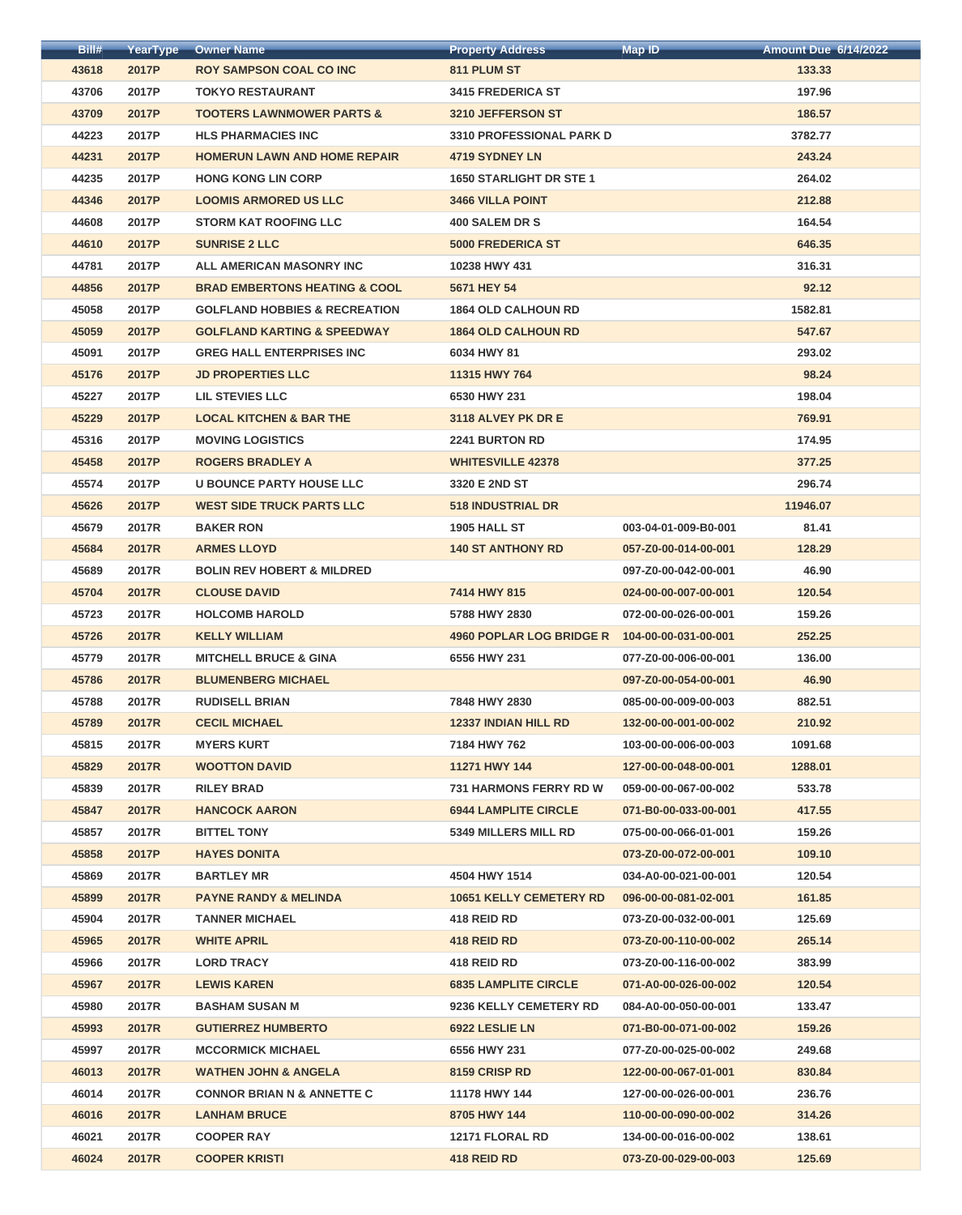| Bill# | YearType     | <b>Owner Name</b>                        | <b>Property Address</b>         | <b>Map ID</b>        | <b>Amount Due 6/14/2022</b> |
|-------|--------------|------------------------------------------|---------------------------------|----------------------|-----------------------------|
| 43618 | 2017P        | <b>ROY SAMPSON COAL CO INC</b>           | 811 PLUM ST                     |                      | 133.33                      |
| 43706 | 2017P        | <b>TOKYO RESTAURANT</b>                  | <b>3415 FREDERICA ST</b>        |                      | 197.96                      |
| 43709 | 2017P        | <b>TOOTERS LAWNMOWER PARTS &amp;</b>     | 3210 JEFFERSON ST               |                      | 186.57                      |
| 44223 | 2017P        | <b>HLS PHARMACIES INC</b>                | <b>3310 PROFESSIONAL PARK D</b> |                      | 3782.77                     |
| 44231 | 2017P        | <b>HOMERUN LAWN AND HOME REPAIR</b>      | <b>4719 SYDNEY LN</b>           |                      | 243.24                      |
| 44235 | 2017P        | <b>HONG KONG LIN CORP</b>                | <b>1650 STARLIGHT DR STE 1</b>  |                      | 264.02                      |
| 44346 | 2017P        | <b>LOOMIS ARMORED US LLC</b>             | 3466 VILLA POINT                |                      | 212.88                      |
| 44608 | 2017P        | <b>STORM KAT ROOFING LLC</b>             | <b>400 SALEM DR S</b>           |                      | 164.54                      |
| 44610 | 2017P        | <b>SUNRISE 2 LLC</b>                     | <b>5000 FREDERICA ST</b>        |                      | 646.35                      |
| 44781 | 2017P        | ALL AMERICAN MASONRY INC                 | 10238 HWY 431                   |                      | 316.31                      |
| 44856 | 2017P        | <b>BRAD EMBERTONS HEATING &amp; COOL</b> | 5671 HEY 54                     |                      | 92.12                       |
| 45058 | 2017P        | <b>GOLFLAND HOBBIES &amp; RECREATION</b> | <b>1864 OLD CALHOUN RD</b>      |                      | 1582.81                     |
| 45059 | 2017P        | <b>GOLFLAND KARTING &amp; SPEEDWAY</b>   | <b>1864 OLD CALHOUN RD</b>      |                      | 547.67                      |
| 45091 | 2017P        | <b>GREG HALL ENTERPRISES INC</b>         | 6034 HWY 81                     |                      | 293.02                      |
| 45176 | 2017P        | <b>JD PROPERTIES LLC</b>                 | 11315 HWY 764                   |                      | 98.24                       |
| 45227 | 2017P        | <b>LIL STEVIES LLC</b>                   | 6530 HWY 231                    |                      | 198.04                      |
| 45229 | 2017P        | <b>LOCAL KITCHEN &amp; BAR THE</b>       | 3118 ALVEY PK DR E              |                      | 769.91                      |
| 45316 | 2017P        | <b>MOVING LOGISTICS</b>                  | <b>2241 BURTON RD</b>           |                      | 174.95                      |
| 45458 | 2017P        | <b>ROGERS BRADLEY A</b>                  | <b>WHITESVILLE 42378</b>        |                      | 377.25                      |
| 45574 | 2017P        | <b>U BOUNCE PARTY HOUSE LLC</b>          | 3320 E 2ND ST                   |                      | 296.74                      |
| 45626 | 2017P        | <b>WEST SIDE TRUCK PARTS LLC</b>         | <b>518 INDUSTRIAL DR</b>        |                      | 11946.07                    |
| 45679 | 2017R        | <b>BAKER RON</b>                         | <b>1905 HALL ST</b>             | 003-04-01-009-B0-001 | 81.41                       |
| 45684 | <b>2017R</b> | <b>ARMES LLOYD</b>                       | <b>140 ST ANTHONY RD</b>        | 057-Z0-00-014-00-001 | 128.29                      |
| 45689 | 2017R        | <b>BOLIN REV HOBERT &amp; MILDRED</b>    |                                 | 097-Z0-00-042-00-001 | 46.90                       |
| 45704 | <b>2017R</b> | <b>CLOUSE DAVID</b>                      | 7414 HWY 815                    | 024-00-00-007-00-001 | 120.54                      |
| 45723 | 2017R        | <b>HOLCOMB HAROLD</b>                    | 5788 HWY 2830                   | 072-00-00-026-00-001 | 159.26                      |
| 45726 | 2017R        | <b>KELLY WILLIAM</b>                     | <b>4960 POPLAR LOG BRIDGE R</b> | 104-00-00-031-00-001 | 252.25                      |
| 45779 | 2017R        | <b>MITCHELL BRUCE &amp; GINA</b>         | 6556 HWY 231                    | 077-Z0-00-006-00-001 | 136.00                      |
| 45786 | 2017R        | <b>BLUMENBERG MICHAEL</b>                |                                 | 097-Z0-00-054-00-001 | 46.90                       |
| 45788 | 2017R        | <b>RUDISELL BRIAN</b>                    | 7848 HWY 2830                   | 085-00-00-009-00-003 | 882.51                      |
| 45789 | 2017R        | <b>CECIL MICHAEL</b>                     | <b>12337 INDIAN HILL RD</b>     | 132-00-00-001-00-002 | 210.92                      |
| 45815 | 2017R        | <b>MYERS KURT</b>                        | 7184 HWY 762                    | 103-00-00-006-00-003 | 1091.68                     |
| 45829 | <b>2017R</b> | <b>WOOTTON DAVID</b>                     | 11271 HWY 144                   | 127-00-00-048-00-001 | 1288.01                     |
| 45839 | 2017R        | <b>RILEY BRAD</b>                        | <b>731 HARMONS FERRY RD W</b>   | 059-00-00-067-00-002 | 533.78                      |
| 45847 | <b>2017R</b> | <b>HANCOCK AARON</b>                     | <b>6944 LAMPLITE CIRCLE</b>     | 071-B0-00-033-00-001 | 417.55                      |
| 45857 | 2017R        | <b>BITTEL TONY</b>                       | 5349 MILLERS MILL RD            | 075-00-00-066-01-001 | 159.26                      |
| 45858 | 2017P        | <b>HAYES DONITA</b>                      |                                 | 073-Z0-00-072-00-001 | 109.10                      |
| 45869 | 2017R        | <b>BARTLEY MR</b>                        | 4504 HWY 1514                   | 034-A0-00-021-00-001 | 120.54                      |
| 45899 | 2017R        | <b>PAYNE RANDY &amp; MELINDA</b>         | <b>10651 KELLY CEMETERY RD</b>  | 096-00-00-081-02-001 | 161.85                      |
| 45904 | 2017R        | <b>TANNER MICHAEL</b>                    | 418 REID RD                     | 073-Z0-00-032-00-001 | 125.69                      |
| 45965 | 2017R        | <b>WHITE APRIL</b>                       | 418 REID RD                     | 073-Z0-00-110-00-002 | 265.14                      |
| 45966 | 2017R        | <b>LORD TRACY</b>                        | 418 REID RD                     | 073-Z0-00-116-00-002 | 383.99                      |
| 45967 | 2017R        | <b>LEWIS KAREN</b>                       | <b>6835 LAMPLITE CIRCLE</b>     | 071-A0-00-026-00-002 | 120.54                      |
| 45980 | 2017R        | <b>BASHAM SUSAN M</b>                    | 9236 KELLY CEMETERY RD          | 084-A0-00-050-00-001 | 133.47                      |
| 45993 | 2017R        | <b>GUTIERREZ HUMBERTO</b>                | 6922 LESLIE LN                  | 071-B0-00-071-00-002 | 159.26                      |
| 45997 | 2017R        | <b>MCCORMICK MICHAEL</b>                 | 6556 HWY 231                    | 077-Z0-00-025-00-002 | 249.68                      |
| 46013 | <b>2017R</b> | <b>WATHEN JOHN &amp; ANGELA</b>          | <b>8159 CRISP RD</b>            | 122-00-00-067-01-001 | 830.84                      |
| 46014 | 2017R        | <b>CONNOR BRIAN N &amp; ANNETTE C</b>    | 11178 HWY 144                   | 127-00-00-026-00-001 | 236.76                      |
| 46016 | <b>2017R</b> | <b>LANHAM BRUCE</b>                      | 8705 HWY 144                    | 110-00-00-090-00-002 | 314.26                      |
| 46021 | 2017R        | <b>COOPER RAY</b>                        | 12171 FLORAL RD                 | 134-00-00-016-00-002 | 138.61                      |
| 46024 | <b>2017R</b> | <b>COOPER KRISTI</b>                     | 418 REID RD                     | 073-Z0-00-029-00-003 | 125.69                      |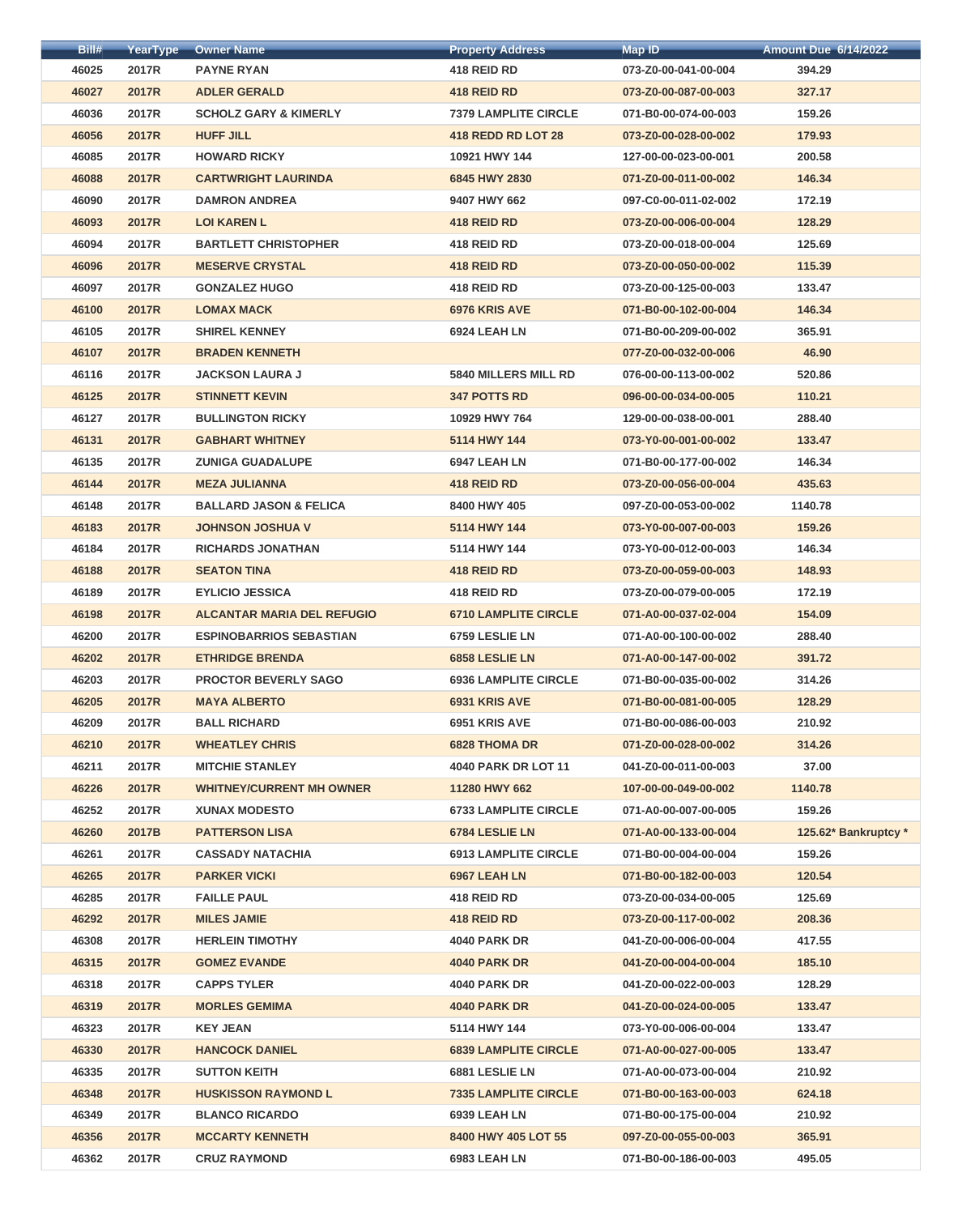| Bill# | YearType     | <b>Owner Name</b>                 | <b>Property Address</b>     | <b>Map ID</b>        | <b>Amount Due 6/14/2022</b> |
|-------|--------------|-----------------------------------|-----------------------------|----------------------|-----------------------------|
| 46025 | 2017R        | <b>PAYNE RYAN</b>                 | 418 REID RD                 | 073-Z0-00-041-00-004 | 394.29                      |
| 46027 | <b>2017R</b> | <b>ADLER GERALD</b>               | 418 REID RD                 | 073-Z0-00-087-00-003 | 327.17                      |
| 46036 | 2017R        | <b>SCHOLZ GARY &amp; KIMERLY</b>  | <b>7379 LAMPLITE CIRCLE</b> | 071-B0-00-074-00-003 | 159.26                      |
| 46056 | <b>2017R</b> | <b>HUFF JILL</b>                  | <b>418 REDD RD LOT 28</b>   | 073-Z0-00-028-00-002 | 179.93                      |
| 46085 | 2017R        | <b>HOWARD RICKY</b>               | 10921 HWY 144               | 127-00-00-023-00-001 | 200.58                      |
| 46088 | <b>2017R</b> | <b>CARTWRIGHT LAURINDA</b>        | 6845 HWY 2830               | 071-Z0-00-011-00-002 | 146.34                      |
| 46090 | 2017R        | <b>DAMRON ANDREA</b>              | 9407 HWY 662                | 097-C0-00-011-02-002 | 172.19                      |
| 46093 | <b>2017R</b> | <b>LOI KAREN L</b>                | 418 REID RD                 | 073-Z0-00-006-00-004 | 128.29                      |
| 46094 | 2017R        | <b>BARTLETT CHRISTOPHER</b>       | 418 REID RD                 | 073-Z0-00-018-00-004 | 125.69                      |
| 46096 | <b>2017R</b> | <b>MESERVE CRYSTAL</b>            | 418 REID RD                 | 073-Z0-00-050-00-002 | 115.39                      |
| 46097 | 2017R        | <b>GONZALEZ HUGO</b>              | 418 REID RD                 | 073-Z0-00-125-00-003 | 133.47                      |
| 46100 | <b>2017R</b> | <b>LOMAX MACK</b>                 | 6976 KRIS AVE               | 071-B0-00-102-00-004 | 146.34                      |
| 46105 | 2017R        | <b>SHIREL KENNEY</b>              | 6924 LEAH LN                | 071-B0-00-209-00-002 | 365.91                      |
| 46107 | <b>2017R</b> | <b>BRADEN KENNETH</b>             |                             | 077-Z0-00-032-00-006 | 46.90                       |
| 46116 | 2017R        | <b>JACKSON LAURA J</b>            | <b>5840 MILLERS MILL RD</b> | 076-00-00-113-00-002 | 520.86                      |
| 46125 | <b>2017R</b> | <b>STINNETT KEVIN</b>             | <b>347 POTTS RD</b>         | 096-00-00-034-00-005 | 110.21                      |
| 46127 | 2017R        | <b>BULLINGTON RICKY</b>           | 10929 HWY 764               | 129-00-00-038-00-001 | 288.40                      |
| 46131 | <b>2017R</b> | <b>GABHART WHITNEY</b>            | 5114 HWY 144                | 073-Y0-00-001-00-002 | 133.47                      |
| 46135 | 2017R        | <b>ZUNIGA GUADALUPE</b>           | 6947 LEAH LN                | 071-B0-00-177-00-002 | 146.34                      |
| 46144 | <b>2017R</b> | <b>MEZA JULIANNA</b>              | 418 REID RD                 | 073-Z0-00-056-00-004 | 435.63                      |
| 46148 | 2017R        | <b>BALLARD JASON &amp; FELICA</b> | 8400 HWY 405                | 097-Z0-00-053-00-002 | 1140.78                     |
| 46183 | <b>2017R</b> | <b>JOHNSON JOSHUA V</b>           | 5114 HWY 144                | 073-Y0-00-007-00-003 | 159.26                      |
| 46184 | 2017R        | <b>RICHARDS JONATHAN</b>          | 5114 HWY 144                | 073-Y0-00-012-00-003 | 146.34                      |
| 46188 | <b>2017R</b> | <b>SEATON TINA</b>                | 418 REID RD                 | 073-Z0-00-059-00-003 | 148.93                      |
| 46189 | 2017R        | <b>EYLICIO JESSICA</b>            | 418 REID RD                 | 073-Z0-00-079-00-005 | 172.19                      |
| 46198 | <b>2017R</b> | <b>ALCANTAR MARIA DEL REFUGIO</b> | <b>6710 LAMPLITE CIRCLE</b> | 071-A0-00-037-02-004 | 154.09                      |
| 46200 | 2017R        | <b>ESPINOBARRIOS SEBASTIAN</b>    | 6759 LESLIE LN              | 071-A0-00-100-00-002 | 288.40                      |
| 46202 | <b>2017R</b> | <b>ETHRIDGE BRENDA</b>            | 6858 LESLIE LN              | 071-A0-00-147-00-002 | 391.72                      |
| 46203 | 2017R        | <b>PROCTOR BEVERLY SAGO</b>       | <b>6936 LAMPLITE CIRCLE</b> | 071-B0-00-035-00-002 | 314.26                      |
| 46205 | <b>2017R</b> | <b>MAYA ALBERTO</b>               | 6931 KRIS AVE               | 071-B0-00-081-00-005 | 128.29                      |
| 46209 | 2017R        | <b>BALL RICHARD</b>               | 6951 KRIS AVE               | 071-B0-00-086-00-003 | 210.92                      |
| 46210 | <b>2017R</b> | <b>WHEATLEY CHRIS</b>             | <b>6828 THOMA DR</b>        | 071-Z0-00-028-00-002 | 314.26                      |
| 46211 | 2017R        | <b>MITCHIE STANLEY</b>            | <b>4040 PARK DR LOT 11</b>  | 041-Z0-00-011-00-003 | 37.00                       |
| 46226 | <b>2017R</b> | <b>WHITNEY/CURRENT MH OWNER</b>   | 11280 HWY 662               | 107-00-00-049-00-002 | 1140.78                     |
| 46252 | 2017R        | <b>XUNAX MODESTO</b>              | <b>6733 LAMPLITE CIRCLE</b> | 071-A0-00-007-00-005 | 159.26                      |
| 46260 | 2017B        | <b>PATTERSON LISA</b>             | 6784 LESLIE LN              | 071-A0-00-133-00-004 | 125.62* Bankruptcy *        |
| 46261 | 2017R        | <b>CASSADY NATACHIA</b>           | <b>6913 LAMPLITE CIRCLE</b> | 071-B0-00-004-00-004 | 159.26                      |
| 46265 | <b>2017R</b> | <b>PARKER VICKI</b>               | 6967 LEAH LN                | 071-B0-00-182-00-003 | 120.54                      |
| 46285 | 2017R        | <b>FAILLE PAUL</b>                | 418 REID RD                 | 073-Z0-00-034-00-005 | 125.69                      |
| 46292 | <b>2017R</b> | <b>MILES JAMIE</b>                | 418 REID RD                 | 073-Z0-00-117-00-002 | 208.36                      |
| 46308 | 2017R        | <b>HERLEIN TIMOTHY</b>            | <b>4040 PARK DR</b>         | 041-Z0-00-006-00-004 | 417.55                      |
| 46315 | <b>2017R</b> | <b>GOMEZ EVANDE</b>               | <b>4040 PARK DR</b>         | 041-Z0-00-004-00-004 | 185.10                      |
| 46318 | 2017R        | <b>CAPPS TYLER</b>                | <b>4040 PARK DR</b>         | 041-Z0-00-022-00-003 | 128.29                      |
| 46319 | <b>2017R</b> | <b>MORLES GEMIMA</b>              | <b>4040 PARK DR</b>         | 041-Z0-00-024-00-005 | 133.47                      |
| 46323 | 2017R        | <b>KEY JEAN</b>                   | 5114 HWY 144                | 073-Y0-00-006-00-004 | 133.47                      |
| 46330 | <b>2017R</b> | <b>HANCOCK DANIEL</b>             | <b>6839 LAMPLITE CIRCLE</b> | 071-A0-00-027-00-005 | 133.47                      |
| 46335 | 2017R        | <b>SUTTON KEITH</b>               | 6881 LESLIE LN              | 071-A0-00-073-00-004 | 210.92                      |
| 46348 | <b>2017R</b> | <b>HUSKISSON RAYMOND L</b>        | <b>7335 LAMPLITE CIRCLE</b> | 071-B0-00-163-00-003 | 624.18                      |
| 46349 | 2017R        | <b>BLANCO RICARDO</b>             | 6939 LEAH LN                | 071-B0-00-175-00-004 | 210.92                      |
| 46356 | <b>2017R</b> | <b>MCCARTY KENNETH</b>            | 8400 HWY 405 LOT 55         | 097-Z0-00-055-00-003 | 365.91                      |
| 46362 | 2017R        | <b>CRUZ RAYMOND</b>               | 6983 LEAH LN                | 071-B0-00-186-00-003 | 495.05                      |